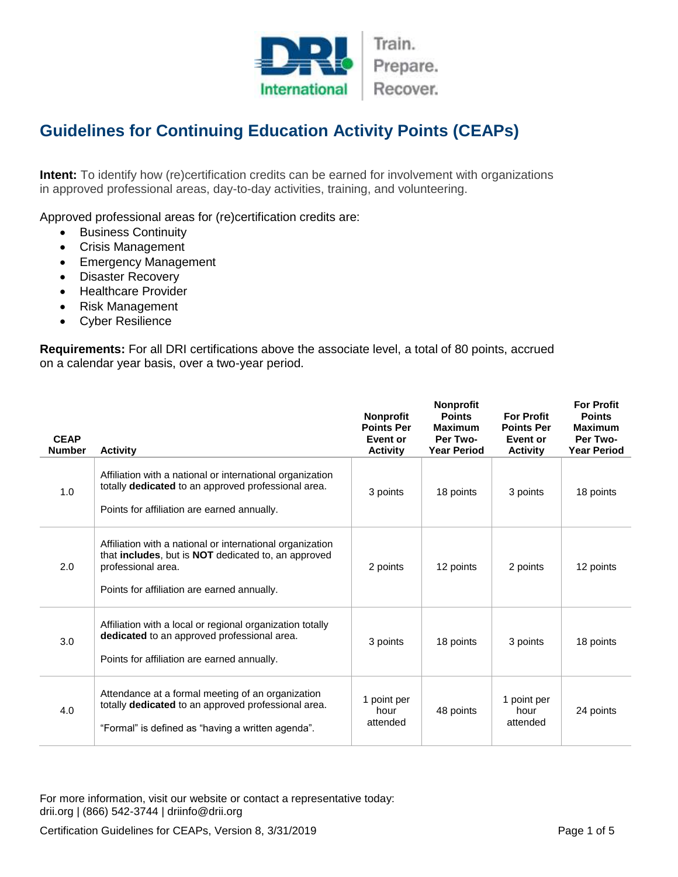

## **Guidelines for Continuing Education Activity Points (CEAPs)**

**Intent:** To identify how (re)certification credits can be earned for involvement with organizations in approved professional areas, day-to-day activities, training, and volunteering.

Approved professional areas for (re)certification credits are:

- **•** Business Continuity
- Crisis Management
- **•** Emergency Management
- Disaster Recovery
- Healthcare Provider
- Risk Management
- Cyber Resilience

**Requirements:** For all DRI certifications above the associate level, a total of 80 points, accrued on a calendar year basis, over a two-year period.

| <b>CEAP</b><br><b>Number</b> | <b>Activity</b>                                                                                                                                                                                      | Nonprofit<br><b>Points Per</b><br>Event or<br><b>Activity</b> | Nonprofit<br><b>Points</b><br><b>Maximum</b><br>Per Two-<br><b>Year Period</b> | <b>For Profit</b><br><b>Points Per</b><br>Event or<br><b>Activity</b> | <b>For Profit</b><br><b>Points</b><br><b>Maximum</b><br>Per Two-<br><b>Year Period</b> |
|------------------------------|------------------------------------------------------------------------------------------------------------------------------------------------------------------------------------------------------|---------------------------------------------------------------|--------------------------------------------------------------------------------|-----------------------------------------------------------------------|----------------------------------------------------------------------------------------|
| 1.0                          | Affiliation with a national or international organization<br>totally dedicated to an approved professional area.<br>Points for affiliation are earned annually.                                      | 3 points                                                      | 18 points                                                                      | 3 points                                                              | 18 points                                                                              |
| 2.0                          | Affiliation with a national or international organization<br>that <b>includes</b> , but is <b>NOT</b> dedicated to, an approved<br>professional area.<br>Points for affiliation are earned annually. | 2 points                                                      | 12 points                                                                      | 2 points                                                              | 12 points                                                                              |
| 3.0                          | Affiliation with a local or regional organization totally<br>dedicated to an approved professional area.<br>Points for affiliation are earned annually.                                              | 3 points                                                      | 18 points                                                                      | 3 points                                                              | 18 points                                                                              |
| 4.0                          | Attendance at a formal meeting of an organization<br>totally dedicated to an approved professional area.<br>"Formal" is defined as "having a written agenda".                                        | 1 point per<br>hour<br>attended                               | 48 points                                                                      | 1 point per<br>hour<br>attended                                       | 24 points                                                                              |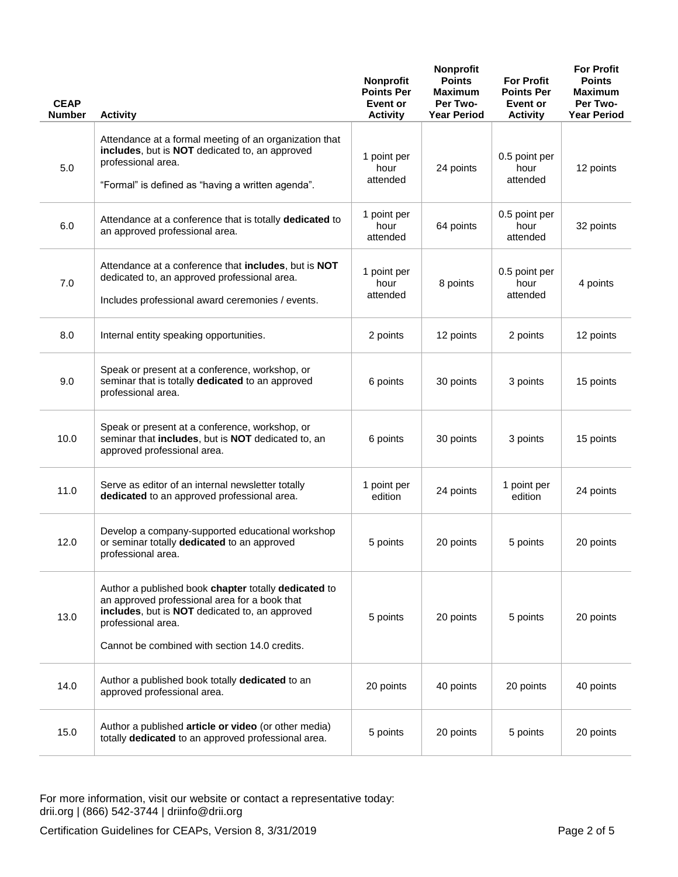| <b>CEAP</b><br><b>Number</b> | <b>Activity</b>                                                                                                                                                                                                                | <b>Nonprofit</b><br><b>Points Per</b><br>Event or<br><b>Activity</b> | Nonprofit<br><b>Points</b><br><b>Maximum</b><br>Per Two-<br><b>Year Period</b> | <b>For Profit</b><br><b>Points Per</b><br>Event or<br><b>Activity</b> | <b>For Profit</b><br><b>Points</b><br><b>Maximum</b><br>Per Two-<br><b>Year Period</b> |
|------------------------------|--------------------------------------------------------------------------------------------------------------------------------------------------------------------------------------------------------------------------------|----------------------------------------------------------------------|--------------------------------------------------------------------------------|-----------------------------------------------------------------------|----------------------------------------------------------------------------------------|
| 5.0                          | Attendance at a formal meeting of an organization that<br>includes, but is NOT dedicated to, an approved<br>professional area.<br>"Formal" is defined as "having a written agenda".                                            | 1 point per<br>hour<br>attended                                      | 24 points                                                                      | 0.5 point per<br>hour<br>attended                                     | 12 points                                                                              |
| 6.0                          | Attendance at a conference that is totally dedicated to<br>an approved professional area.                                                                                                                                      | 1 point per<br>hour<br>attended                                      | 64 points                                                                      | 0.5 point per<br>hour<br>attended                                     | 32 points                                                                              |
| 7.0                          | Attendance at a conference that includes, but is NOT<br>dedicated to, an approved professional area.<br>Includes professional award ceremonies / events.                                                                       | 1 point per<br>hour<br>attended                                      | 8 points                                                                       | 0.5 point per<br>hour<br>attended                                     | 4 points                                                                               |
| 8.0                          | Internal entity speaking opportunities.                                                                                                                                                                                        | 2 points                                                             | 12 points                                                                      | 2 points                                                              | 12 points                                                                              |
| 9.0                          | Speak or present at a conference, workshop, or<br>seminar that is totally dedicated to an approved<br>professional area.                                                                                                       | 6 points                                                             | 30 points                                                                      | 3 points                                                              | 15 points                                                                              |
| 10.0                         | Speak or present at a conference, workshop, or<br>seminar that includes, but is NOT dedicated to, an<br>approved professional area.                                                                                            | 6 points                                                             | 30 points                                                                      | 3 points                                                              | 15 points                                                                              |
| 11.0                         | Serve as editor of an internal newsletter totally<br>dedicated to an approved professional area.                                                                                                                               | 1 point per<br>edition                                               | 24 points                                                                      | 1 point per<br>edition                                                | 24 points                                                                              |
| 12.0                         | Develop a company-supported educational workshop<br>or seminar totally dedicated to an approved<br>professional area.                                                                                                          | 5 points                                                             | 20 points                                                                      | 5 points                                                              | 20 points                                                                              |
| 13.0                         | Author a published book chapter totally dedicated to<br>an approved professional area for a book that<br>includes, but is NOT dedicated to, an approved<br>professional area.<br>Cannot be combined with section 14.0 credits. | 5 points                                                             | 20 points                                                                      | 5 points                                                              | 20 points                                                                              |
| 14.0                         | Author a published book totally dedicated to an<br>approved professional area.                                                                                                                                                 | 20 points                                                            | 40 points                                                                      | 20 points                                                             | 40 points                                                                              |
| 15.0                         | Author a published article or video (or other media)<br>totally dedicated to an approved professional area.                                                                                                                    | 5 points                                                             | 20 points                                                                      | 5 points                                                              | 20 points                                                                              |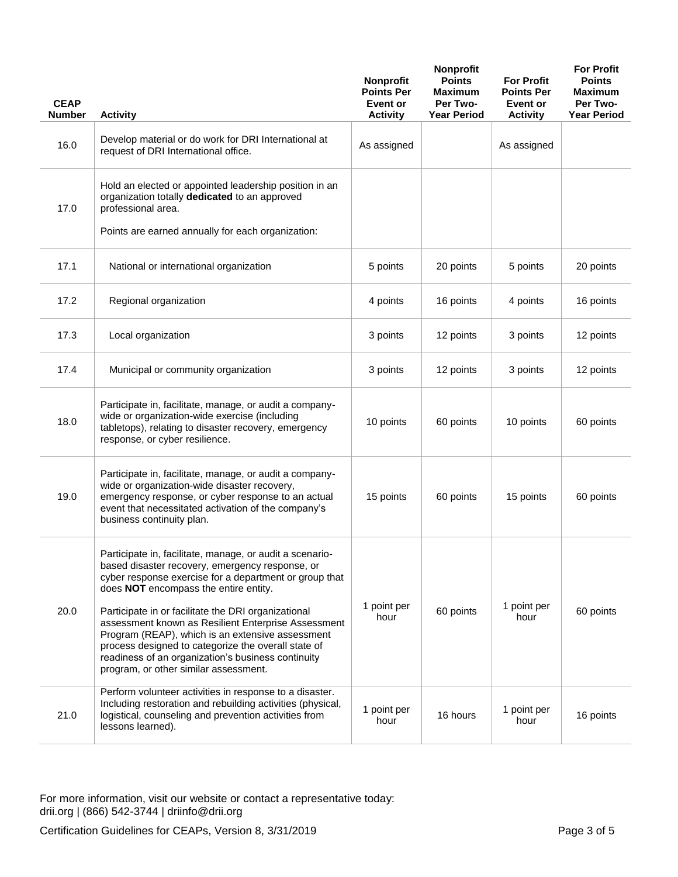| <b>CEAP</b><br><b>Number</b> | <b>Activity</b>                                                                                                                                                                                                                                                                                                                                                                                                                                                                                                                        | <b>Nonprofit</b><br><b>Points Per</b><br>Event or<br><b>Activity</b> | Nonprofit<br><b>Points</b><br><b>Maximum</b><br>Per Two-<br><b>Year Period</b> | <b>For Profit</b><br><b>Points Per</b><br><b>Event or</b><br><b>Activity</b> | <b>For Profit</b><br><b>Points</b><br><b>Maximum</b><br>Per Two-<br><b>Year Period</b> |
|------------------------------|----------------------------------------------------------------------------------------------------------------------------------------------------------------------------------------------------------------------------------------------------------------------------------------------------------------------------------------------------------------------------------------------------------------------------------------------------------------------------------------------------------------------------------------|----------------------------------------------------------------------|--------------------------------------------------------------------------------|------------------------------------------------------------------------------|----------------------------------------------------------------------------------------|
| 16.0                         | Develop material or do work for DRI International at<br>request of DRI International office.                                                                                                                                                                                                                                                                                                                                                                                                                                           | As assigned                                                          |                                                                                | As assigned                                                                  |                                                                                        |
| 17.0                         | Hold an elected or appointed leadership position in an<br>organization totally dedicated to an approved<br>professional area.                                                                                                                                                                                                                                                                                                                                                                                                          |                                                                      |                                                                                |                                                                              |                                                                                        |
|                              | Points are earned annually for each organization:                                                                                                                                                                                                                                                                                                                                                                                                                                                                                      |                                                                      |                                                                                |                                                                              |                                                                                        |
| 17.1                         | National or international organization                                                                                                                                                                                                                                                                                                                                                                                                                                                                                                 | 5 points                                                             | 20 points                                                                      | 5 points                                                                     | 20 points                                                                              |
| 17.2                         | Regional organization                                                                                                                                                                                                                                                                                                                                                                                                                                                                                                                  | 4 points                                                             | 16 points                                                                      | 4 points                                                                     | 16 points                                                                              |
| 17.3                         | Local organization                                                                                                                                                                                                                                                                                                                                                                                                                                                                                                                     | 3 points                                                             | 12 points                                                                      | 3 points                                                                     | 12 points                                                                              |
| 17.4                         | Municipal or community organization                                                                                                                                                                                                                                                                                                                                                                                                                                                                                                    | 3 points                                                             | 12 points                                                                      | 3 points                                                                     | 12 points                                                                              |
| 18.0                         | Participate in, facilitate, manage, or audit a company-<br>wide or organization-wide exercise (including<br>tabletops), relating to disaster recovery, emergency<br>response, or cyber resilience.                                                                                                                                                                                                                                                                                                                                     | 10 points                                                            | 60 points                                                                      | 10 points                                                                    | 60 points                                                                              |
| 19.0                         | Participate in, facilitate, manage, or audit a company-<br>wide or organization-wide disaster recovery,<br>emergency response, or cyber response to an actual<br>event that necessitated activation of the company's<br>business continuity plan.                                                                                                                                                                                                                                                                                      | 15 points                                                            | 60 points                                                                      | 15 points                                                                    | 60 points                                                                              |
| 20.0                         | Participate in, facilitate, manage, or audit a scenario-<br>based disaster recovery, emergency response, or<br>cyber response exercise for a department or group that<br>does NOT encompass the entire entity.<br>Participate in or facilitate the DRI organizational<br>assessment known as Resilient Enterprise Assessment<br>Program (REAP), which is an extensive assessment<br>process designed to categorize the overall state of<br>readiness of an organization's business continuity<br>program, or other similar assessment. | 1 point per<br>hour                                                  | 60 points                                                                      | 1 point per<br>hour                                                          | 60 points                                                                              |
| 21.0                         | Perform volunteer activities in response to a disaster.<br>Including restoration and rebuilding activities (physical,<br>logistical, counseling and prevention activities from<br>lessons learned).                                                                                                                                                                                                                                                                                                                                    | 1 point per<br>hour                                                  | 16 hours                                                                       | 1 point per<br>hour                                                          | 16 points                                                                              |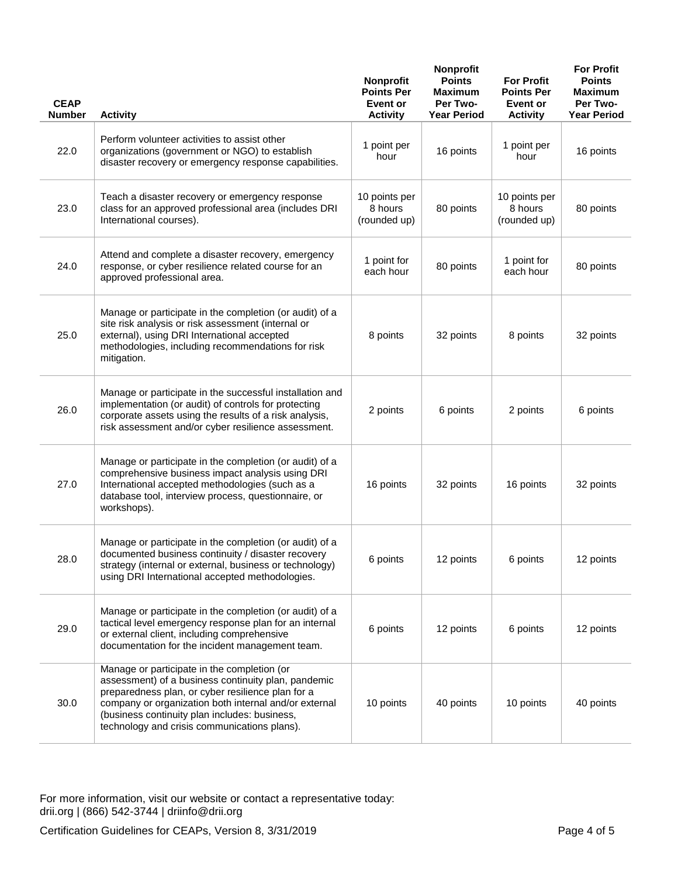| <b>CEAP</b><br><b>Number</b> | <b>Activity</b>                                                                                                                                                                                                                                                                                                   | <b>Nonprofit</b><br><b>Points Per</b><br>Event or<br><b>Activity</b> | Nonprofit<br><b>Points</b><br><b>Maximum</b><br>Per Two-<br><b>Year Period</b> | <b>For Profit</b><br><b>Points Per</b><br>Event or<br><b>Activity</b> | <b>For Profit</b><br><b>Points</b><br><b>Maximum</b><br>Per Two-<br><b>Year Period</b> |
|------------------------------|-------------------------------------------------------------------------------------------------------------------------------------------------------------------------------------------------------------------------------------------------------------------------------------------------------------------|----------------------------------------------------------------------|--------------------------------------------------------------------------------|-----------------------------------------------------------------------|----------------------------------------------------------------------------------------|
| 22.0                         | Perform volunteer activities to assist other<br>organizations (government or NGO) to establish<br>disaster recovery or emergency response capabilities.                                                                                                                                                           | 1 point per<br>hour                                                  | 16 points                                                                      | 1 point per<br>hour                                                   | 16 points                                                                              |
| 23.0                         | Teach a disaster recovery or emergency response<br>class for an approved professional area (includes DRI<br>International courses).                                                                                                                                                                               | 10 points per<br>8 hours<br>(rounded up)                             | 80 points                                                                      | 10 points per<br>8 hours<br>(rounded up)                              | 80 points                                                                              |
| 24.0                         | Attend and complete a disaster recovery, emergency<br>response, or cyber resilience related course for an<br>approved professional area.                                                                                                                                                                          | 1 point for<br>each hour                                             | 80 points                                                                      | 1 point for<br>each hour                                              | 80 points                                                                              |
| 25.0                         | Manage or participate in the completion (or audit) of a<br>site risk analysis or risk assessment (internal or<br>external), using DRI International accepted<br>methodologies, including recommendations for risk<br>mitigation.                                                                                  | 8 points                                                             | 32 points                                                                      | 8 points                                                              | 32 points                                                                              |
| 26.0                         | Manage or participate in the successful installation and<br>implementation (or audit) of controls for protecting<br>corporate assets using the results of a risk analysis,<br>risk assessment and/or cyber resilience assessment.                                                                                 | 2 points                                                             | 6 points                                                                       | 2 points                                                              | 6 points                                                                               |
| 27.0                         | Manage or participate in the completion (or audit) of a<br>comprehensive business impact analysis using DRI<br>International accepted methodologies (such as a<br>database tool, interview process, questionnaire, or<br>workshops).                                                                              | 16 points                                                            | 32 points                                                                      | 16 points                                                             | 32 points                                                                              |
| 28.0                         | Manage or participate in the completion (or audit) of a<br>documented business continuity / disaster recovery<br>strategy (internal or external, business or technology)<br>using DRI International accepted methodologies.                                                                                       | 6 points                                                             | 12 points                                                                      | 6 points                                                              | 12 points                                                                              |
| 29.0                         | Manage or participate in the completion (or audit) of a<br>tactical level emergency response plan for an internal<br>or external client, including comprehensive<br>documentation for the incident management team.                                                                                               | 6 points                                                             | 12 points                                                                      | 6 points                                                              | 12 points                                                                              |
| 30.0                         | Manage or participate in the completion (or<br>assessment) of a business continuity plan, pandemic<br>preparedness plan, or cyber resilience plan for a<br>company or organization both internal and/or external<br>(business continuity plan includes: business,<br>technology and crisis communications plans). | 10 points                                                            | 40 points                                                                      | 10 points                                                             | 40 points                                                                              |